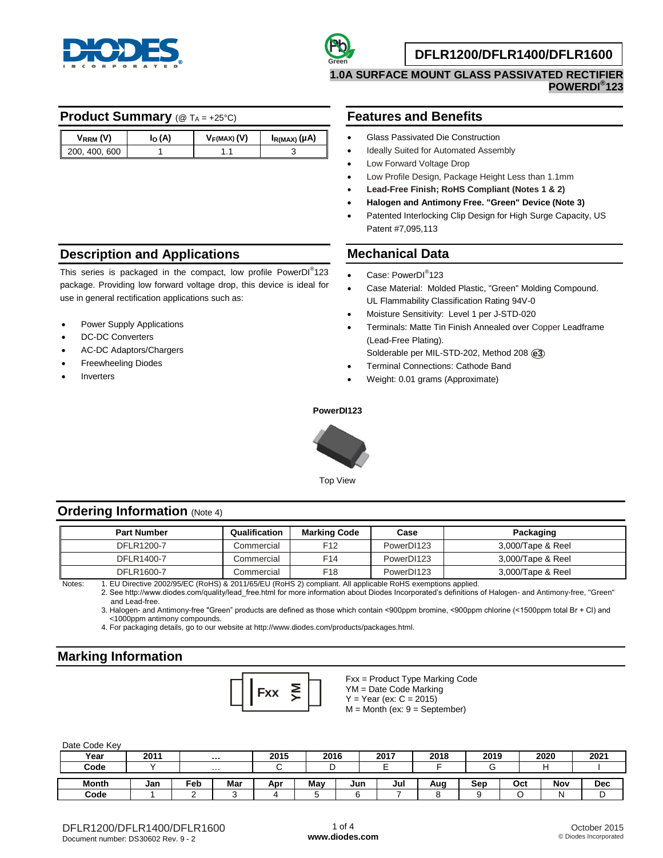



### **DFLR1200/DFLR1400/DFLR1600**

**1.0A SURFACE MOUNT GLASS PASSIVATED RECTIFIER POWERDI® 123**

### **Product Summary** ( $@$   $T_A = +25^\circ \text{C}$ )

| $V_{RRM}$ (V) | $\alpha(A)$ | $V_F(MAX)$ (V) | Ι <sub>R(MAX)</sub> (μΑ) |
|---------------|-------------|----------------|--------------------------|
| 200, 400, 600 |             |                |                          |

## **Description and Applications**

This series is packaged in the compact, low profile PowerDI®123 package. Providing low forward voltage drop, this device is ideal for use in general rectification applications such as:

- Power Supply Applications
- DC-DC Converters
- AC-DC Adaptors/Chargers
- Freewheeling Diodes
- Inverters

### **Features and Benefits**

- Glass Passivated Die Construction
- Ideally Suited for Automated Assembly
- Low Forward Voltage Drop
- Low Profile Design, Package Height Less than 1.1mm
- **Lead-Free Finish; RoHS Compliant (Notes 1 & 2)**
- **Halogen and Antimony Free. "Green" Device (Note 3)**
- Patented Interlocking Clip Design for High Surge Capacity, US Patent #7,095,113

### **Mechanical Data**

- Case: PowerDI<sup>®</sup>123
- Case Material: Molded Plastic, "Green" Molding Compound. UL Flammability Classification Rating 94V-0
- Moisture Sensitivity: Level 1 per J-STD-020
- Terminals: Matte Tin Finish Annealed over Copper Leadframe (Lead-Free Plating).
	- Solderable per MIL-STD-202, Method 208 **e3**
- Terminal Connections: Cathode Band
- Weight: 0.01 grams (Approximate)

#### **PowerDI123**



Top View

#### **Ordering Information (Note 4)**

| <b>Part Number</b> | Qualification | <b>Marking Code</b> | Case       | Packaging         |
|--------------------|---------------|---------------------|------------|-------------------|
| DFLR1200-7         | Commercial    | F12                 | PowerDI123 | 3,000/Tape & Reel |
| DFLR1400-7         | Commercial    | F14                 | PowerDI123 | 3,000/Tape & Reel |
| DFLR1600-7         | Commercial    | F18                 | PowerDI123 | 3,000/Tape & Reel |

Notes: 1. EU Directive 2002/95/EC (RoHS) & 2011/65/EU (RoHS 2) compliant. All applicable RoHS exemptions applied.

2. See [http://www.diodes.com/quality/lead\\_free.html fo](http://www.diodes.com/quality/lead_free.html)r more information about Diodes Incorporated's definitions of Halogen- and Antimony-free, "Green" and Lead-free.

3. Halogen- and Antimony-free "Green" products are defined as those which contain <900ppm bromine, <900ppm chlorine (<1500ppm total Br + Cl) and <1000ppm antimony compounds.

4. For packaging details, go to our website at [http://www.diodes.com/products/packages.html.](http://www.diodes.com/products/packages.html)

## **Marking Information**



Fxx = Product Type Marking Code YM = Date Code Marking  $Y = Year (ex: C = 2015)$  $M =$  Month (ex:  $9 =$  September)

| Date Code Key |      |     |          |      |      |     |      |      |      |     |      |            |
|---------------|------|-----|----------|------|------|-----|------|------|------|-----|------|------------|
| Year          | 2011 |     | $\cdots$ | 2015 | 2016 |     | 2017 | 2018 | 2019 |     | 2020 | 2021       |
| Code          |      |     | $\cdots$ |      |      |     |      |      |      |     |      |            |
| <b>Month</b>  | Jan  | Feb | Mar      | Apr  | Mav  | Jun | Jul  | Aug  | Sep  | Oct | Nov  | <b>Dec</b> |
| Code          |      |     |          | 4    |      |     |      |      |      |     | N    | ◡          |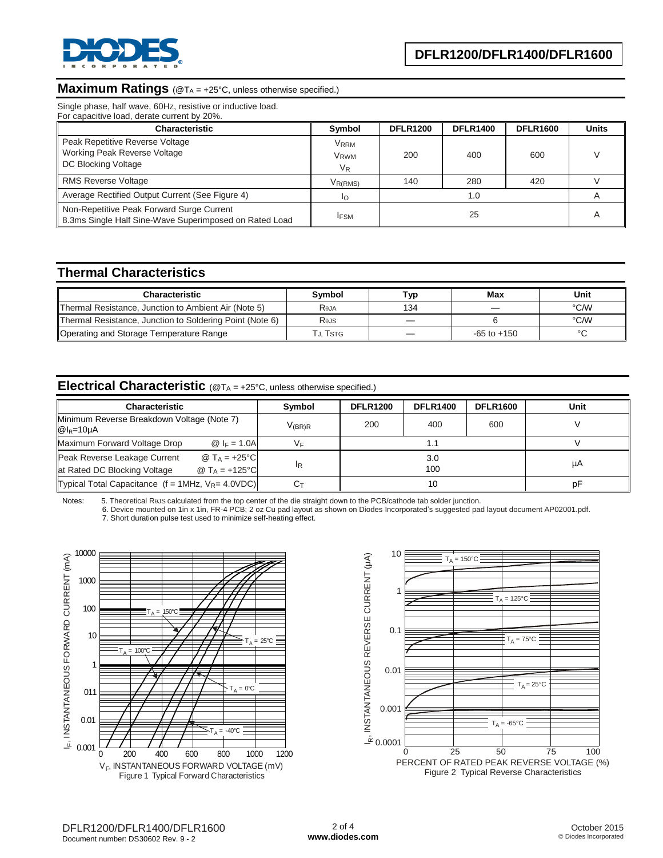

# **Maximum Ratings** (@TA = +25°C, unless otherwise specified.)

Single phase, half wave, 60Hz, resistive or inductive load.

| <b>Characteristic</b>                                                                               | Symbol                                     | <b>DFLR1200</b> | <b>DFLR1400</b> | <b>DFLR1600</b> | <b>Units</b> |
|-----------------------------------------------------------------------------------------------------|--------------------------------------------|-----------------|-----------------|-----------------|--------------|
| Peak Repetitive Reverse Voltage<br>Working Peak Reverse Voltage<br>DC Blocking Voltage              | <b>VRRM</b><br>V <sub>RWM</sub><br>$V_{R}$ | 200             | 400             | 600             |              |
| <b>RMS Reverse Voltage</b>                                                                          | V <sub>R(RMS)</sub>                        | 140             | 280             | 420             |              |
| Average Rectified Output Current (See Figure 4)                                                     | ΙO                                         |                 | 1.0             |                 |              |
| Non-Repetitive Peak Forward Surge Current<br>8.3ms Single Half Sine-Wave Superimposed on Rated Load | <b>IFSM</b>                                |                 | 25              |                 |              |

### **Thermal Characteristics**

| <b>Characteristic</b>                                    | Symbol           | ⊤ур | Max             | Unit |
|----------------------------------------------------------|------------------|-----|-----------------|------|
| Thermal Resistance, Junction to Ambient Air (Note 5)     | R <sub>eja</sub> | 134 |                 | °C/W |
| Thermal Resistance, Junction to Soldering Point (Note 6) | Rejs             | __  |                 | °C∕W |
| Operating and Storage Temperature Range                  | Tj. Tstg         |     | $-65$ to $+150$ |      |

## **Electrical Characteristic** (@T<sup>A</sup> = +25°C, unless otherwise specified.)

| <b>Characteristic</b>                                                                                 | Symbol             | <b>DFLR1200</b> | <b>DFLR1400</b> | <b>DFLR1600</b> | Unit |
|-------------------------------------------------------------------------------------------------------|--------------------|-----------------|-----------------|-----------------|------|
| Minimum Reverse Breakdown Voltage (Note 7)<br>$@I_R=10\mu A$                                          | V <sub>(BR)R</sub> | 200             | 400             | 600             |      |
| Maximum Forward Voltage Drop<br>@ $ _F = 1.0A$                                                        | V⊧                 |                 |                 |                 |      |
| @ $T_A = +25$ °C<br>Peak Reverse Leakage Current<br>@ $T_A = +125$ °C<br>at Rated DC Blocking Voltage | lR                 |                 | 3.0<br>100      |                 | μA   |
| Typical Total Capacitance $(f = 1MHz, V_R = 4.0VDC)$                                                  |                    |                 | 10              |                 | рF   |

Notes: 5. Theoretical ReJS calculated from the top center of the die straight down to the PCB/cathode tab solder junction.

 6. Device mounted on 1in x 1in, FR-4 PCB; 2 oz Cu pad layout as shown on Diodes Incorporated's suggested pad layout document AP02001.pdf. 7. Short duration pulse test used to minimize self-heating effect.



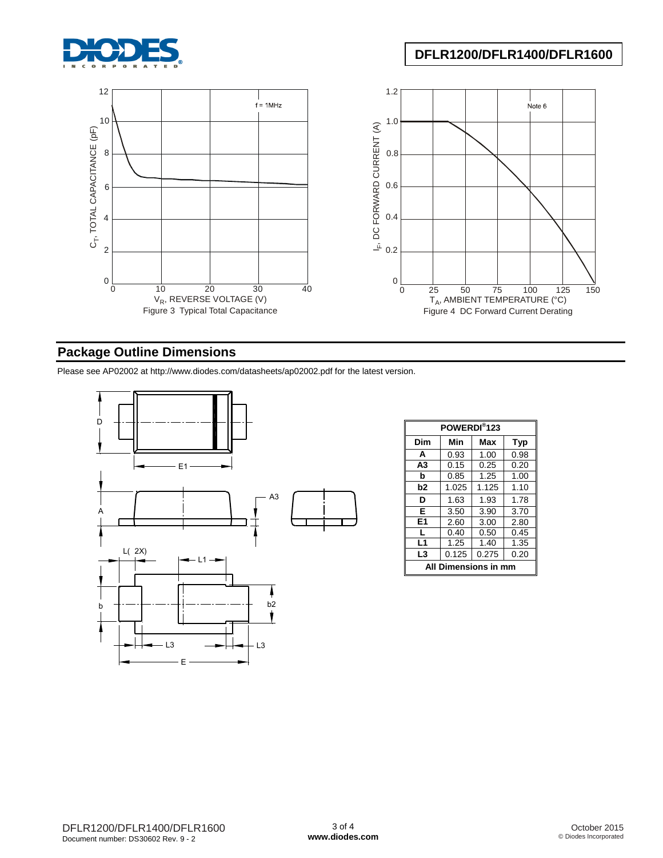

# **DFLR1200/DFLR1400/DFLR1600**



# **Package Outline Dimensions**

Please see AP02002 at [http://www.diodes.com/datasheets/ap02002.pdf fo](http://www.diodes.com/datasheets/ap02002.pdf)r the latest version.



| POWERDI <sup>®</sup> 123 |       |       |            |  |  |  |
|--------------------------|-------|-------|------------|--|--|--|
| Dim                      | Min   | Max   | <b>Typ</b> |  |  |  |
| A                        | 0.93  | 1.00  | 0.98       |  |  |  |
| A3                       | 0.15  | 0.25  | 0.20       |  |  |  |
| b                        | 0.85  | 1.25  | 1.00       |  |  |  |
| b2                       | 1.025 | 1.125 | 1.10       |  |  |  |
| D                        | 1.63  | 1.93  | 1.78       |  |  |  |
| E                        | 3.50  | 3.90  | 3.70       |  |  |  |
| E <sub>1</sub>           | 2.60  | 3.00  | 2.80       |  |  |  |
| L                        | 0.40  | 0.50  | 0.45       |  |  |  |
| L1                       | 1.25  | 1.40  | 1.35       |  |  |  |
| L3                       | 0.125 | 0.275 | 0.20       |  |  |  |
| All Dimensions in mm     |       |       |            |  |  |  |